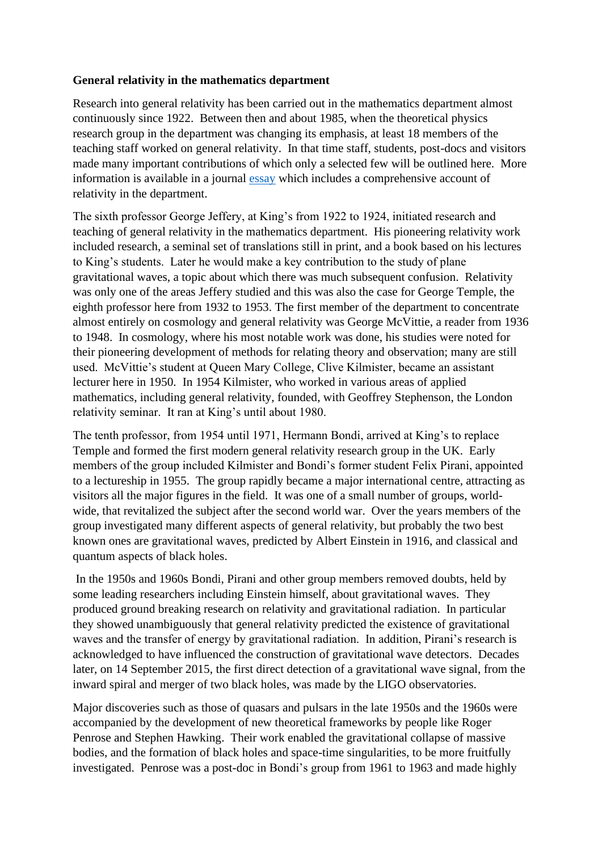## **General relativity in the mathematics department**

Research into general relativity has been carried out in the mathematics department almost continuously since 1922. Between then and about 1985, when the theoretical physics research group in the department was changing its emphasis, at least 18 members of the teaching staff worked on general relativity. In that time staff, students, post-docs and visitors made many important contributions of which only a selected few will be outlined here. More information is available in a journal [essay](http://link.springer.com/article/10.1140/epjh/e2019-100020-1) which includes a comprehensive account of relativity in the department.

The sixth professor George Jeffery, at King's from 1922 to 1924, initiated research and teaching of general relativity in the mathematics department. His pioneering relativity work included research, a seminal set of translations still in print, and a book based on his lectures to King's students. Later he would make a key contribution to the study of plane gravitational waves, a topic about which there was much subsequent confusion. Relativity was only one of the areas Jeffery studied and this was also the case for George Temple, the eighth professor here from 1932 to 1953. The first member of the department to concentrate almost entirely on cosmology and general relativity was George McVittie, a reader from 1936 to 1948. In cosmology, where his most notable work was done, his studies were noted for their pioneering development of methods for relating theory and observation; many are still used. McVittie's student at Queen Mary College, Clive Kilmister, became an assistant lecturer here in 1950. In 1954 Kilmister, who worked in various areas of applied mathematics, including general relativity, founded, with Geoffrey Stephenson, the London relativity seminar. It ran at King's until about 1980.

The tenth professor, from 1954 until 1971, Hermann Bondi, arrived at King's to replace Temple and formed the first modern general relativity research group in the UK. Early members of the group included Kilmister and Bondi's former student Felix Pirani, appointed to a lectureship in 1955. The group rapidly became a major international centre, attracting as visitors all the major figures in the field. It was one of a small number of groups, worldwide, that revitalized the subject after the second world war. Over the years members of the group investigated many different aspects of general relativity, but probably the two best known ones are gravitational waves, predicted by Albert Einstein in 1916, and classical and quantum aspects of black holes.

In the 1950s and 1960s Bondi, Pirani and other group members removed doubts, held by some leading researchers including Einstein himself, about gravitational waves. They produced ground breaking research on relativity and gravitational radiation. In particular they showed unambiguously that general relativity predicted the existence of gravitational waves and the transfer of energy by gravitational radiation. In addition, Pirani's research is acknowledged to have influenced the construction of gravitational wave detectors. Decades later, on 14 September 2015, the first direct detection of a gravitational wave signal, from the inward spiral and merger of two black holes, was made by the LIGO observatories.

Major discoveries such as those of quasars and pulsars in the late 1950s and the 1960s were accompanied by the development of new theoretical frameworks by people like Roger Penrose and Stephen Hawking. Their work enabled the gravitational collapse of massive bodies, and the formation of black holes and space-time singularities, to be more fruitfully investigated. Penrose was a post-doc in Bondi's group from 1961 to 1963 and made highly